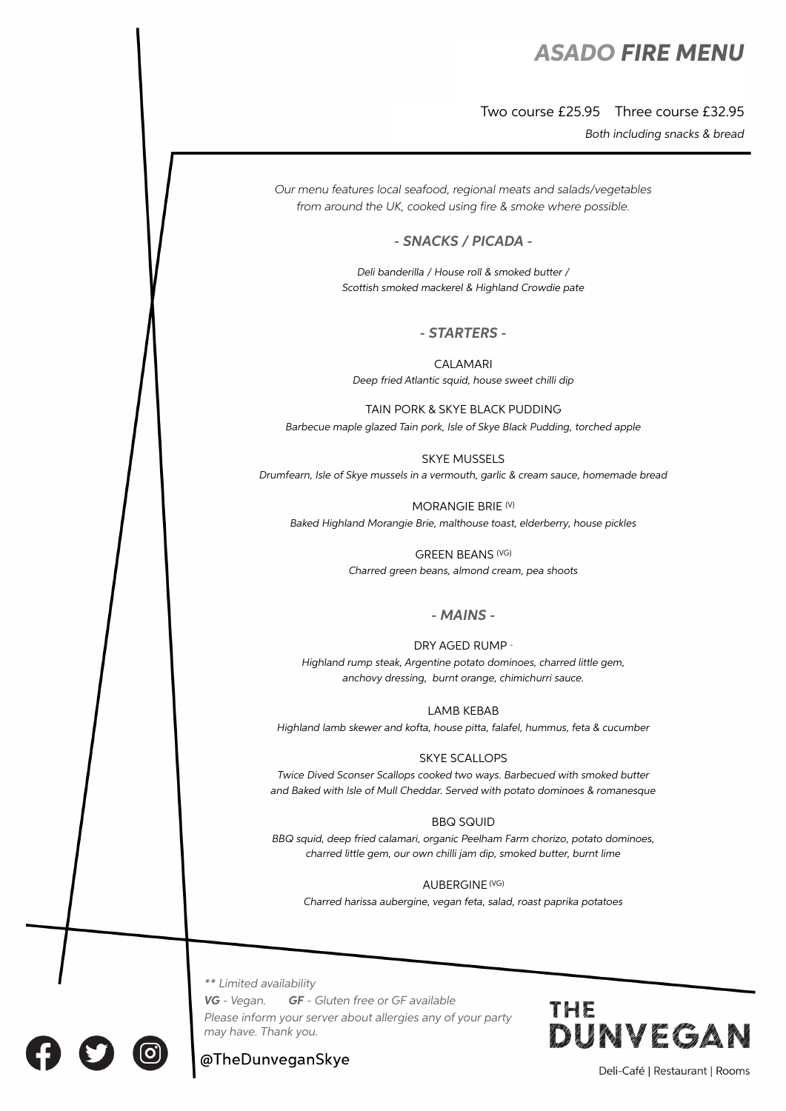# *ASADO FIRE MENU*

## Two course £25.95 Three course £32.95

*Both including snacks & bread*

*Our menu features local seafood, regional meats and salads/vegetables from around the UK, cooked using* fi*re & smoke where possible.*

## *- SNACKS / PICADA -*

*Deli banderilla / House roll & smoked butter / Scottish smoked mackerel & Highland Crowdie pate*

### *- STARTERS -*

CALAMARI *Deep fried Atlantic squid, house sweet chilli dip*

TAIN PORK & SKYE BLACK PUDDING *Barbecue maple glazed Tain pork, Isle of Skye Black Pudding, torched apple*

SKYE MUSSELS *Drumfearn, Isle of Skye mussels in a vermouth, garlic & cream sauce, homemade bread*

MORANGIE BRIE (V)

*Baked Highland Morangie Brie, malthouse toast, elderberry, house pickles*

GREEN BEANS (VG) *Charred green beans, almond cream, pea shoots*

### *- MAINS -*

#### DRY AGED RUMP -

*Highland rump steak, Argentine potato dominoes, charred little gem, anchovy dressing, burnt orange, chimichurri sauce.*

LAMB KEBAB

*Highland lamb skewer and kofta, house pitta, falafel, hummus, feta & cucumber*

#### SKYE SCALLOPS

*Twice Dived Sconser Scallops cooked two ways. Barbecued with smoked butter and Baked with Isle of Mull Cheddar. Served with potato dominoes & romanesque*

#### BBQ SQUID

*BBQ squid, deep fried calamari, organic Peelham Farm chorizo, potato dominoes, charred little gem, our own chilli jam dip, smoked butter, burnt lime*

#### AUBERGINE (VG)

*Charred harissa aubergine, vegan feta, salad, roast paprika potatoes*

*\*\* Limited availability*

*VG - Vegan. GF - Gluten free or GF available*

*Please inform your server about allergies any of your party may have. Thank you.*



# @TheDunveganSkye

Deli-Café | Restaurant | Rooms



 $\overline{a}$